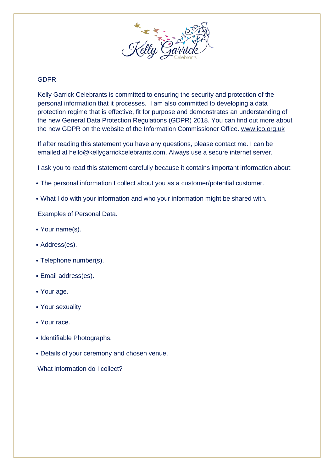

## GDPR

Kelly Garrick Celebrants is committed to ensuring the security and protection of the personal information that it processes. I am also committed to developing a data protection regime that is effective, fit for purpose and demonstrates an understanding of the new General Data Protection Regulations (GDPR) 2018. You can find out more about the new GDPR on the website of the Information Commissioner Office. [www.ico.org.uk](http://www.ico.org.uk/)

If after reading this statement you have any questions, please contact me. I can be emailed at hello@kellygarrickcelebrants.com. Always use a secure internet server.

I ask you to read this statement carefully because it contains important information about:

- The personal information I collect about you as a customer/potential customer.
- What I do with your information and who your information might be shared with.

Examples of Personal Data.

- Your name(s).
- Address(es).
- Telephone number(s).
- Email address(es).
- Your age.
- Your sexuality
- Your race.
- Identifiable Photographs.
- Details of your ceremony and chosen venue.

What information do I collect?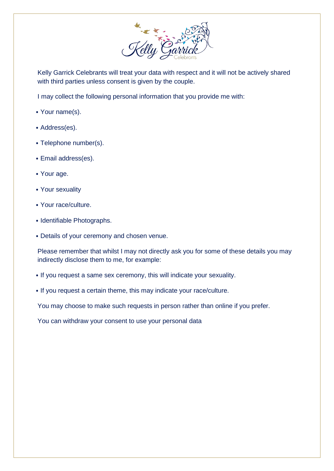

Kelly Garrick Celebrants will treat your data with respect and it will not be actively shared with third parties unless consent is given by the couple.

I may collect the following personal information that you provide me with:

- Your name(s).
- Address(es).
- Telephone number(s).
- Email address(es).
- Your age.
- Your sexuality
- Your race/culture.
- Identifiable Photographs.
- Details of your ceremony and chosen venue.

Please remember that whilst I may not directly ask you for some of these details you may indirectly disclose them to me, for example:

- If you request a same sex ceremony, this will indicate your sexuality.
- If you request a certain theme, this may indicate your race/culture.

You may choose to make such requests in person rather than online if you prefer.

You can withdraw your consent to use your personal data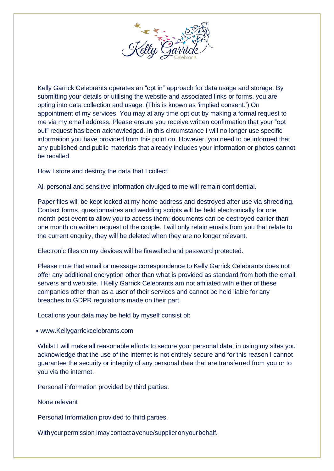

Kelly Garrick Celebrants operates an "opt in" approach for data usage and storage. By submitting your details or utilising the website and associated links or forms, you are opting into data collection and usage. (This is known as 'implied consent.') On appointment of my services. You may at any time opt out by making a formal request to me via my email address. Please ensure you receive written confirmation that your "opt out" request has been acknowledged. In this circumstance I will no longer use specific information you have provided from this point on. However, you need to be informed that any published and public materials that already includes your information or photos cannot be recalled.

How I store and destroy the data that I collect.

All personal and sensitive information divulged to me will remain confidential.

Paper files will be kept locked at my home address and destroyed after use via shredding. Contact forms, questionnaires and wedding scripts will be held electronically for one month post event to allow you to access them; documents can be destroyed earlier than one month on written request of the couple. I will only retain emails from you that relate to the current enquiry, they will be deleted when they are no longer relevant.

Electronic files on my devices will be firewalled and password protected.

Please note that email or message correspondence to Kelly Garrick Celebrants does not offer any additional encryption other than what is provided as standard from both the email servers and web site. I Kelly Garrick Celebrants am not affiliated with either of these companies other than as a user of their services and cannot be held liable for any breaches to GDPR regulations made on their part.

Locations your data may be held by myself consist of:

• www.Kellygarrickcelebrants.com

Whilst I will make all reasonable efforts to secure your personal data, in using my sites you acknowledge that the use of the internet is not entirely secure and for this reason I cannot guarantee the security or integrity of any personal data that are transferred from you or to you via the internet.

Personal information provided by third parties.

None relevant

Personal Information provided to third parties.

WithyourpermissionImay contact avenue/supplieronyourbehalf.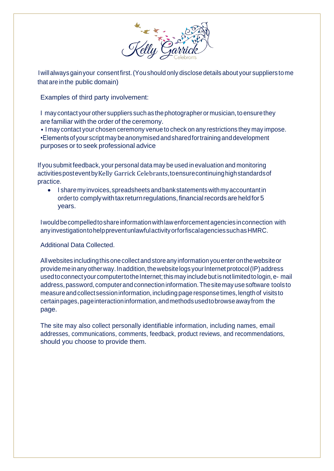

Iwillalwaysgainyour consent first.(Youshould only disclose details about your suppliers tome that are inthe public domain)

Examples of third party involvement:

I may contact your other suppliers such as the photographer or musician, to ensure they are familiar with the order of the ceremony.

• I may contact your chosen ceremony venue to check on any restrictions they may impose. •Elements ofyourscript maybeanonymisedandsharedfortraininganddevelopment purposes or to seek professional advice

If you submit feedback, your personal data may be used in evaluation and monitoring activitiesposteventbyKelly Garrick Celebrants,toensurecontinuinghighstandardsof practice.

• I sharemy invoices,spreadsheets andbankstatementswithmyaccountantin orderto comply with tax return regulations, financial records are held for 5 years.

Iwouldbecompelledtoshareinformationwithlawenforcement agenciesinconnection with anyinvestigationtohelppreventunlawfulactivityorforfiscalagenciessuchasHMRC.

Additional Data Collected.

Allwebsites includingthisonecollect andstoreany information youenter onthewebsiteor providemeinanyotherway.Inaddition,thewebsitelogs yourInternet protocol(IP)address used to connect your computer to the Internet; this may include but is not limited to login, e- mail address, password, computerandconnectioninformation.Thesitemay usesoftware toolsto measureandcollectsessioninformation, includingpageresponsetimes, lengthof visitsto certainpages,pageinteractioninformation,andmethodsusedtobrowseawayfrom the page.

The site may also collect personally identifiable information, including names, email addresses, communications, comments, feedback, product reviews, and recommendations, should you choose to provide them.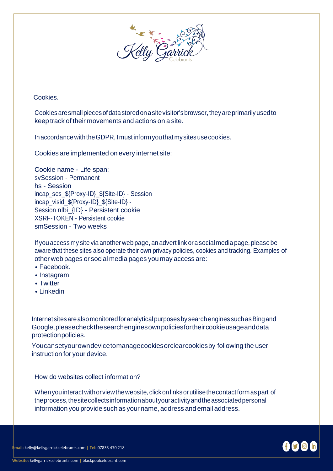

Cookies.

Cookies aresmallpiecesofdatastoredonasitevisitor'sbrowser,theyareprimarilyusedto keep track of their movements and actions on a site.

In accordance with the GDPR, I must inform you that my sites use cookies.

Cookies are implemented on every internet site:

Cookie name - Life span: svSession - Permanent hs - Session incap\_ses\_\${Proxy-ID}\_\${Site-ID} - Session incap\_visid\_\${Proxy-ID}\_\${Site-ID} - Session nlbi {ID} - Persistent cookie XSRF-TOKEN - Persistent cookie smSession - Two weeks

If you access my site via another web page, an advert link ora social media page, pleasebe aware that these sites also operate their own privacy policies, cookies and tracking. Examples of other web pages or social media pages you may access are:

- Facebook.
- Instagram.
- Twitter
- Linkedin

Internet sites are also monitored for analytical purposes by search engines such as Bing and Google,pleasecheckthesearchenginesownpoliciesfortheircookieusageanddata protectionpolicies.

Youcansetyourowndevicetomanagecookiesorclearcookiesby following the user instruction for your device.

How do websites collect information?

Whenyouinteract withorviewthewebsite, clickonlinksorutilisethecontactformaspart of theprocess,thesitecollectsinformationaboutyouractivityandtheassociatedpersonal information you provide such as your name, address and email address.

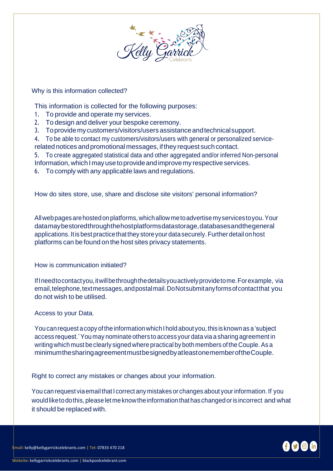

## Why is this information collected?

This information is collected for the following purposes:

- 1. To provide and operate my services.
- 2. To design and deliver your bespoke ceremony.
- 3. To provide my customers/visitors/users assistance and technical support.
- 4. To be able to contact my customers/visitors/users with general or personalized service-
- related notices and promotional messages, if they request such contact.
- 5. To create aggregated statistical data and other aggregated and/or inferred Non-personal Information, which I may use to provide and improve my respective services.
- 6. To comply with any applicable laws and regulations.

How do sites store, use, share and disclose site visitors' personal information?

Allwebpages arehostedonplatforms,whichallow metoadvertisemyservicestoyou.Your datamaybestoredthroughthehostplatformsdatastorage,databasesandthegeneral applications. It is best practice that they store your data securely. Further detail on host platforms can be found on the host sites privacy statements.

How is communication initiated?

IfIneedtocontactyou,itwillbethroughthedetailsyouactivelyprovidetome.Forexample, via email, telephone, text messages, and postal mail. Do Not submitany forms of contact that you do not wish to be utilised.

## Access to your Data.

You can request a copy of the information which I hold about you, this is known as a 'subject access request.'You may nominate others to access your data via a sharing agreement in writing which must be clearly signed where practical by both members of the Couple. As a minimumthesharingagreementmustbesignedbyatleastonememberoftheCouple.

Right to correct any mistakes or changes about your information.

You can request viaemail that I correct any mistakes or changes about yourinformation. If you would like to do this, please let me know the information that has changed or is incorrect and what it should be replaced with.